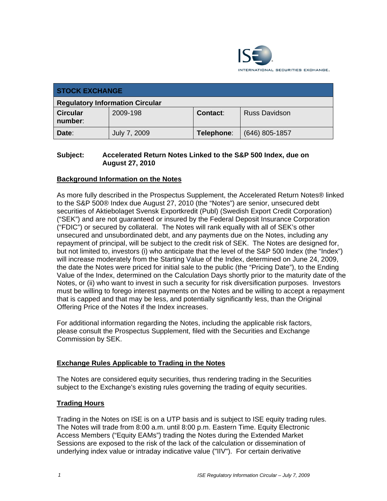

| <b>STOCK EXCHANGE</b>                  |              |            |                      |  |  |
|----------------------------------------|--------------|------------|----------------------|--|--|
| <b>Regulatory Information Circular</b> |              |            |                      |  |  |
| <b>Circular</b><br>number:             | 2009-198     | Contact:   | <b>Russ Davidson</b> |  |  |
| Date:                                  | July 7, 2009 | Telephone: | $(646)$ 805-1857     |  |  |

### **Subject: Accelerated Return Notes Linked to the S&P 500 Index, due on August 27, 2010**

## **Background Information on the Notes**

As more fully described in the Prospectus Supplement, the Accelerated Return Notes® linked to the S&P 500® Index due August 27, 2010 (the "Notes") are senior, unsecured debt securities of Aktiebolaget Svensk Exportkredit (Publ) (Swedish Export Credit Corporation) ("SEK") and are not guaranteed or insured by the Federal Deposit Insurance Corporation ("FDIC") or secured by collateral. The Notes will rank equally with all of SEK's other unsecured and unsubordinated debt, and any payments due on the Notes, including any repayment of principal, will be subject to the credit risk of SEK. The Notes are designed for, but not limited to, investors (i) who anticipate that the level of the S&P 500 Index (the "Index") will increase moderately from the Starting Value of the Index, determined on June 24, 2009, the date the Notes were priced for initial sale to the public (the "Pricing Date"), to the Ending Value of the Index, determined on the Calculation Days shortly prior to the maturity date of the Notes, or (ii) who want to invest in such a security for risk diversification purposes. Investors must be willing to forego interest payments on the Notes and be willing to accept a repayment that is capped and that may be less, and potentially significantly less, than the Original Offering Price of the Notes if the Index increases.

For additional information regarding the Notes, including the applicable risk factors, please consult the Prospectus Supplement, filed with the Securities and Exchange Commission by SEK.

#### **Exchange Rules Applicable to Trading in the Notes**

The Notes are considered equity securities, thus rendering trading in the Securities subject to the Exchange's existing rules governing the trading of equity securities.

#### **Trading Hours**

Trading in the Notes on ISE is on a UTP basis and is subject to ISE equity trading rules. The Notes will trade from 8:00 a.m. until 8:00 p.m. Eastern Time. Equity Electronic Access Members ("Equity EAMs") trading the Notes during the Extended Market Sessions are exposed to the risk of the lack of the calculation or dissemination of underlying index value or intraday indicative value ("IIV"). For certain derivative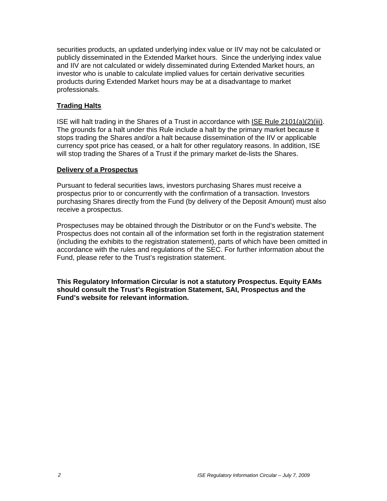securities products, an updated underlying index value or IIV may not be calculated or publicly disseminated in the Extended Market hours. Since the underlying index value and IIV are not calculated or widely disseminated during Extended Market hours, an investor who is unable to calculate implied values for certain derivative securities products during Extended Market hours may be at a disadvantage to market professionals.

## **Trading Halts**

ISE will halt trading in the Shares of a Trust in accordance with ISE Rule 2101(a)(2)(iii). The grounds for a halt under this Rule include a halt by the primary market because it stops trading the Shares and/or a halt because dissemination of the IIV or applicable currency spot price has ceased, or a halt for other regulatory reasons. In addition, ISE will stop trading the Shares of a Trust if the primary market de-lists the Shares.

#### **Delivery of a Prospectus**

Pursuant to federal securities laws, investors purchasing Shares must receive a prospectus prior to or concurrently with the confirmation of a transaction. Investors purchasing Shares directly from the Fund (by delivery of the Deposit Amount) must also receive a prospectus.

Prospectuses may be obtained through the Distributor or on the Fund's website. The Prospectus does not contain all of the information set forth in the registration statement (including the exhibits to the registration statement), parts of which have been omitted in accordance with the rules and regulations of the SEC. For further information about the Fund, please refer to the Trust's registration statement.

**This Regulatory Information Circular is not a statutory Prospectus. Equity EAMs should consult the Trust's Registration Statement, SAI, Prospectus and the Fund's website for relevant information.**